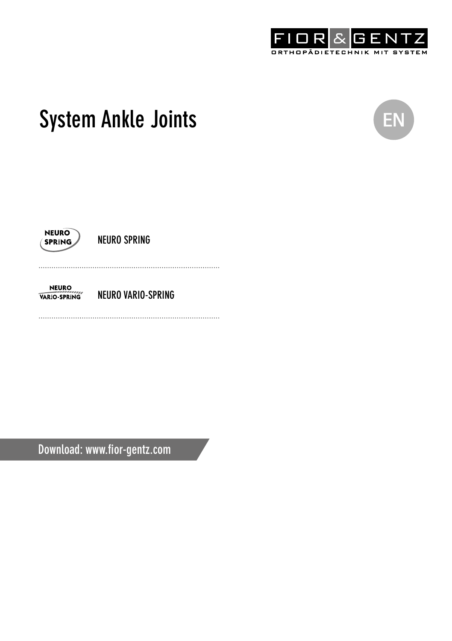

# System Ankle Joints **ENR CONTENT**





NEURO SPRING

**NEURO** NEURO VARIO-SPRING VARIO SPRING

Download: www.fior-gentz.com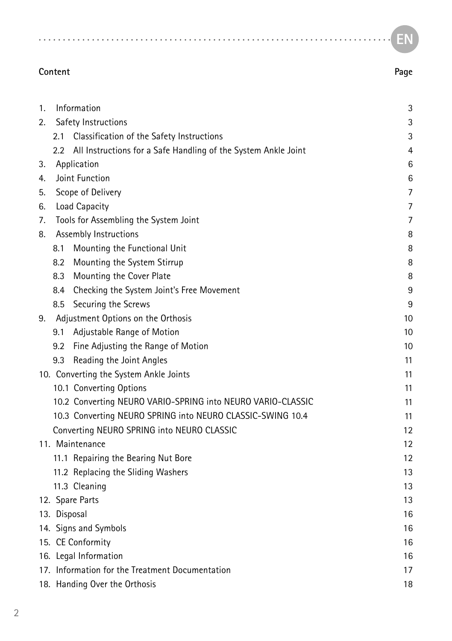#### **EN**

| 1. | Information                                           |                                                                | 3  |  |  |
|----|-------------------------------------------------------|----------------------------------------------------------------|----|--|--|
| 2. |                                                       | Safety Instructions                                            | 3  |  |  |
|    | 2.1                                                   | Classification of the Safety Instructions                      | 3  |  |  |
|    | 2.2                                                   | All Instructions for a Safe Handling of the System Ankle Joint | 4  |  |  |
| 3. | Application                                           |                                                                | 6  |  |  |
| 4. |                                                       | Joint Function                                                 | 6  |  |  |
| 5. |                                                       | Scope of Delivery                                              | 7  |  |  |
| 6. | Load Capacity                                         |                                                                | 7  |  |  |
| 7. |                                                       | Tools for Assembling the System Joint                          | 7  |  |  |
| 8. |                                                       | Assembly Instructions                                          | 8  |  |  |
|    | 8.1                                                   | Mounting the Functional Unit                                   | 8  |  |  |
|    |                                                       | 8.2 Mounting the System Stirrup                                | 8  |  |  |
|    |                                                       | 8.3 Mounting the Cover Plate                                   | 8  |  |  |
|    |                                                       | 8.4 Checking the System Joint's Free Movement                  | 9  |  |  |
|    |                                                       | 8.5 Securing the Screws                                        | 9  |  |  |
| 9. |                                                       | Adjustment Options on the Orthosis                             | 10 |  |  |
|    | 9.1                                                   | Adjustable Range of Motion                                     | 10 |  |  |
|    | 9.2                                                   | Fine Adjusting the Range of Motion                             | 10 |  |  |
|    | 9.3                                                   | Reading the Joint Angles                                       | 11 |  |  |
|    |                                                       | 10. Converting the System Ankle Joints                         | 11 |  |  |
|    |                                                       | 10.1 Converting Options                                        | 11 |  |  |
|    |                                                       | 10.2 Converting NEURO VARIO-SPRING into NEURO VARIO-CLASSIC    | 11 |  |  |
|    |                                                       | 10.3 Converting NEURO SPRING into NEURO CLASSIC-SWING 10.4     | 11 |  |  |
|    |                                                       | Converting NEURO SPRING into NEURO CLASSIC                     | 12 |  |  |
|    | 11. Maintenance                                       |                                                                | 12 |  |  |
|    |                                                       | 11.1 Repairing the Bearing Nut Bore                            | 12 |  |  |
|    |                                                       | 11.2 Replacing the Sliding Washers                             | 13 |  |  |
|    | 11.3 Cleaning                                         |                                                                | 13 |  |  |
|    | 12. Spare Parts                                       |                                                                | 13 |  |  |
|    | 13. Disposal                                          |                                                                | 16 |  |  |
|    | 14. Signs and Symbols<br>16                           |                                                                |    |  |  |
|    | 15. CE Conformity<br>16                               |                                                                |    |  |  |
|    |                                                       | 16. Legal Information                                          | 16 |  |  |
|    | 17. Information for the Treatment Documentation<br>17 |                                                                |    |  |  |
|    | 18. Handing Over the Orthosis<br>18                   |                                                                |    |  |  |

**Content Page**

 $1.1.1.1.1.1.1$ 

 $\lambda$ 

 $\overline{a}$   $\overline{a}$   $\overline{a}$   $\overline{a}$   $\overline{a}$  $\overline{a}$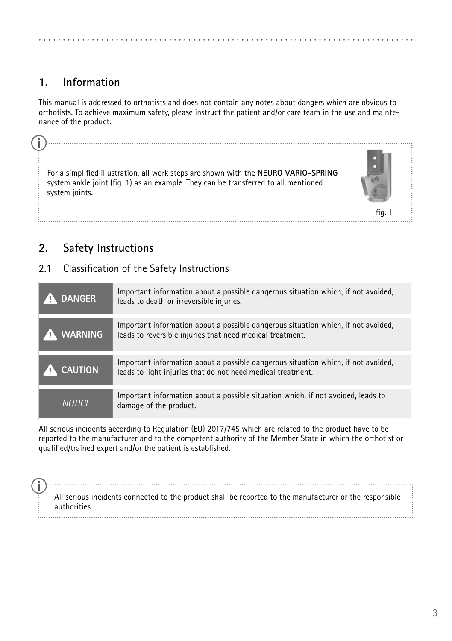#### <span id="page-2-0"></span>**System Ankle Joints 1. Information**

This manual is addressed to orthotists and does not contain any notes about dangers which are obvious to orthotists. To achieve maximum safety, please instruct the patient and/or care team in the use and maintenance of the product.

For a simplified illustration, all work steps are shown with the **NEURO VARIO-SPRING** system ankle joint (fig. 1) as an example. They can be transferred to all mentioned system joints.



### **2. Safety Instructions**

#### 2.1 Classification of the Safety Instructions

**DANGER** Important information about a possible dangerous situation which, if not avoided, leads to death or irreversible injuries. **WARNING** Important information about a possible dangerous situation which, if not avoided, leads to reversible injuries that need medical treatment. **CAUTION** Important information about a possible dangerous situation which, if not avoided, leads to light injuries that do not need medical treatment. **Important information about a possible situation which, if not avoided, leads to NOTICE** damage of the product.

All serious incidents according to Regulation (EU) 2017/745 which are related to the product have to be reported to the manufacturer and to the competent authority of the Member State in which the orthotist or qualified/trained expert and/or the patient is established.

All serious incidents connected to the product shall be reported to the manufacturer or the responsible authorities.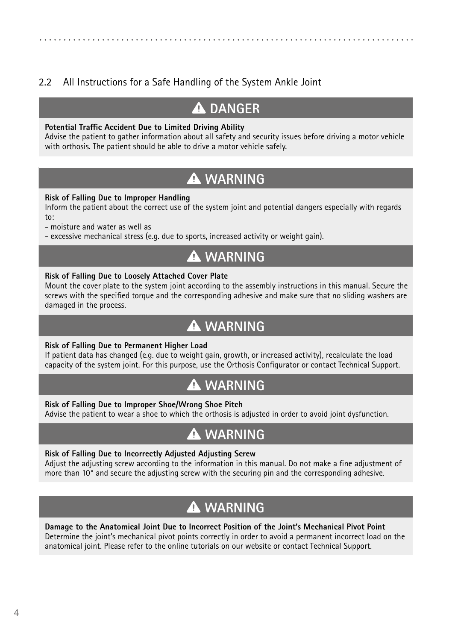### <span id="page-3-0"></span>2.2 All Instructions for a Safe Handling of the System Ankle Joint

# **DANGER**

#### **Potential Traffic Accident Due to Limited Driving Ability**

Advise the patient to gather information about all safety and security issues before driving a motor vehicle with orthosis. The patient should be able to drive a motor vehicle safely.

# **WARNING**

#### **Risk of Falling Due to Improper Handling**

Inform the patient about the correct use of the system joint and potential dangers especially with regards  $\mathbf{t}$ 

- moisture and water as well as

- excessive mechanical stress (e.g. due to sports, increased activity or weight gain).

# **WARNING**

#### **Risk of Falling Due to Loosely Attached Cover Plate**

Mount the cover plate to the system joint according to the assembly instructions in this manual. Secure the screws with the specified torque and the corresponding adhesive and make sure that no sliding washers are damaged in the process.

# **WARNING**

#### **Risk of Falling Due to Permanent Higher Load**

If patient data has changed (e.g. due to weight gain, growth, or increased activity), recalculate the load capacity of the system joint. For this purpose, use the Orthosis Configurator or contact Technical Support.

# **WARNING**

#### **Risk of Falling Due to Improper Shoe/Wrong Shoe Pitch**

Advise the patient to wear a shoe to which the orthosis is adjusted in order to avoid joint dysfunction.

# **WARNING**

#### **Risk of Falling Due to Incorrectly Adjusted Adjusting Screw**

Adjust the adjusting screw according to the information in this manual. Do not make a fine adjustment of more than 10° and secure the adjusting screw with the securing pin and the corresponding adhesive.

# **WARNING**

**Damage to the Anatomical Joint Due to Incorrect Position of the Joint's Mechanical Pivot Point** Determine the joint's mechanical pivot points correctly in order to avoid a permanent incorrect load on the anatomical joint. Please refer to the online tutorials on our website or contact Technical Support.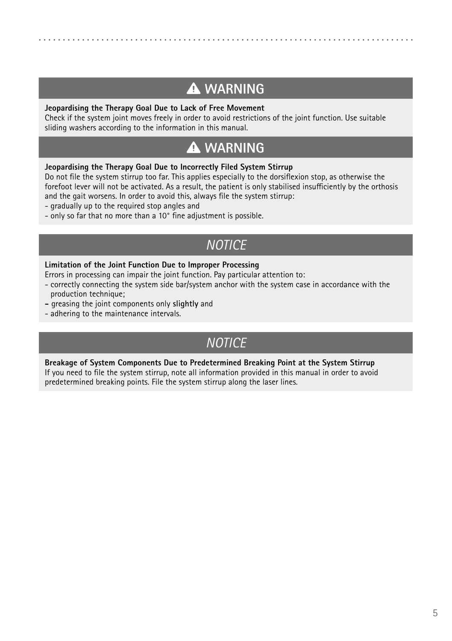# **WARNING**

#### **Jeopardising the Therapy Goal Due to Lack of Free Movement**

Check if the system joint moves freely in order to avoid restrictions of the joint function. Use suitable sliding washers according to the information in this manual.

# **WARNING**

#### **Jeopardising the Therapy Goal Due to Incorrectly Filed System Stirrup**

Do not file the system stirrup too far. This applies especially to the dorsiflexion stop, as otherwise the forefoot lever will not be activated. As a result, the patient is only stabilised insufficiently by the orthosis and the gait worsens. In order to avoid this, always file the system stirrup:

- gradually up to the required stop angles and
- only so far that no more than a 10° fine adjustment is possible.

# *NOTICE*

#### **Limitation of the Joint Function Due to Improper Processing**

- Errors in processing can impair the joint function. Pay particular attention to:
- correctly connecting the system side bar/system anchor with the system case in accordance with the production technique;
- greasing the joint components only **slightly** and
- adhering to the maintenance intervals.

# *NOTICE*

#### **Breakage of System Components Due to Predetermined Breaking Point at the System Stirrup**

If you need to file the system stirrup, note all information provided in this manual in order to avoid predetermined breaking points. File the system stirrup along the laser lines.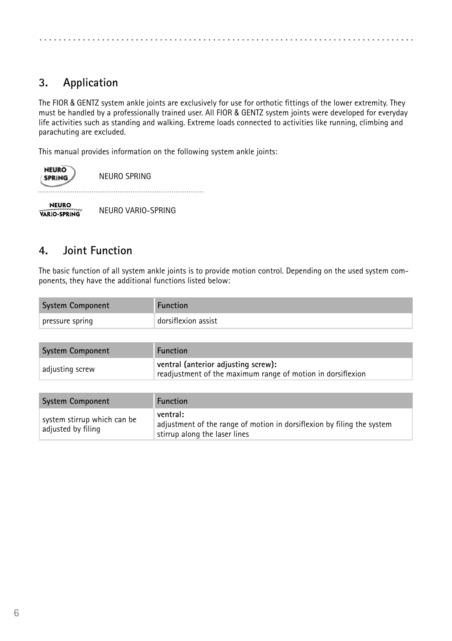<span id="page-5-0"></span>

# **3. Application**

The FIOR & GENTZ system ankle joints are exclusively for use for orthotic fittings of the lower extremity. They must be handled by a professionally trained user. All FIOR & GENTZ system joints were developed for everyday life activities such as standing and walking. Extreme loads connected to activities like running, climbing and parachuting are excluded.

This manual provides information on the following system ankle joints:



NEURO SPRING

. . . . . . . . . . . . . 

**NEURO** VARIO-SPRING

NEURO VARIO-SPRING

### **4. Joint Function**

The basic function of all system ankle joints is to provide motion control. Depending on the used system components, they have the additional functions listed below:

| <b>System Component</b> | <b>Function</b>     |
|-------------------------|---------------------|
| pressure spring         | dorsiflexion assist |

| System Component | <b>Function</b>                                                                                    |  |
|------------------|----------------------------------------------------------------------------------------------------|--|
| adjusting screw  | ventral (anterior adjusting screw):<br>readjustment of the maximum range of motion in dorsiflexion |  |

| <b>System Component</b>                           | <b>Function</b>                                                                                                     |
|---------------------------------------------------|---------------------------------------------------------------------------------------------------------------------|
| system stirrup which can be<br>adjusted by filing | ventral:<br>adjustment of the range of motion in dorsiflexion by filing the system<br>stirrup along the laser lines |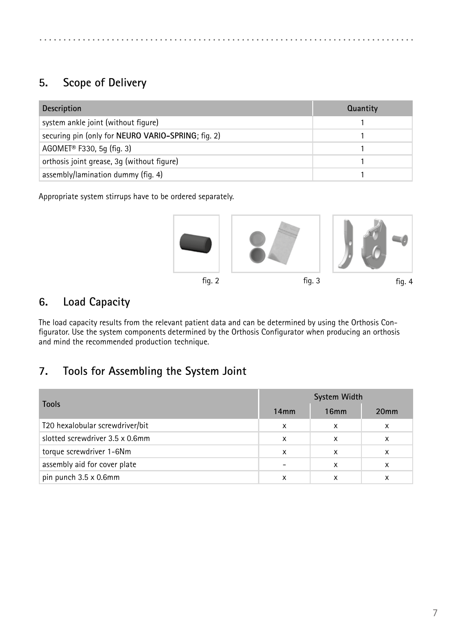# <span id="page-6-0"></span>**5. Scope of Delivery**

| <b>Description</b>                                 | Quantity |
|----------------------------------------------------|----------|
| system ankle joint (without figure)                |          |
| securing pin (only for NEURO VARIO-SPRING; fig. 2) |          |
| AGOMET <sup>®</sup> F330, 5g (fig. 3)              |          |
| orthosis joint grease, 3g (without figure)         |          |
| assembly/lamination dummy (fig. 4)                 |          |

Appropriate system stirrups have to be ordered separately.



### **6. Load Capacity**

The load capacity results from the relevant patient data and can be determined by using the Orthosis Configurator. Use the system components determined by the Orthosis Configurator when producing an orthosis and mind the recommended production technique.

### **7. Tools for Assembling the System Joint**

|                                 | System Width |      |                  |  |
|---------------------------------|--------------|------|------------------|--|
| <b>Tools</b>                    | 14mm         | 16mm | 20 <sub>mm</sub> |  |
| T20 hexalobular screwdriver/bit | x            | x    | x                |  |
| slotted screwdriver 3.5 x 0.6mm | x            | x    | x                |  |
| torque screwdriver 1-6Nm        | x            | x    | x                |  |
| assembly aid for cover plate    |              | x    | x                |  |
| pin punch 3.5 x 0.6mm           | x            | x    | x                |  |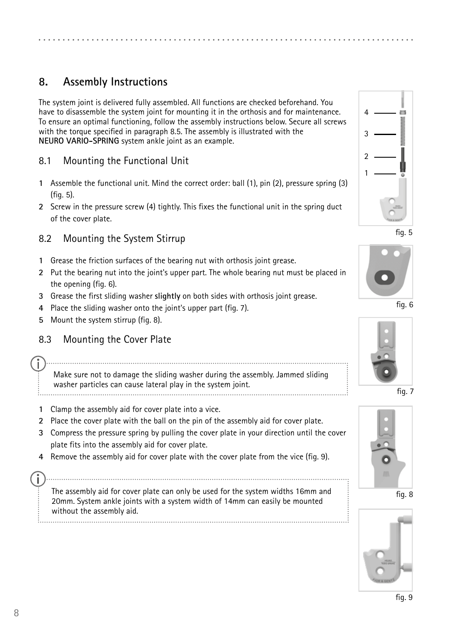# <span id="page-7-0"></span>**8. Assembly Instructions**

The system joint is delivered fully assembled. All functions are checked beforehand. You have to disassemble the system joint for mounting it in the orthosis and for maintenance. To ensure an optimal functioning, follow the assembly instructions below. Secure all screws with the torque specified in paragraph 8.5. The assembly is illustrated with the **NEURO VARIO-SPRING** system ankle joint as an example.

#### 8.1 Mounting the Functional Unit

- **1** Assemble the functional unit. Mind the correct order: ball (1), pin (2), pressure spring (3) (fig. 5).
- **2** Screw in the pressure screw (4) tightly. This fixes the functional unit in the spring duct of the cover plate.

#### 8.2 Mounting the System Stirrup

- **1** Grease the friction surfaces of the bearing nut with orthosis joint grease.
- **2** Put the bearing nut into the joint's upper part. The whole bearing nut must be placed in the opening (fig. 6).
- **3** Grease the first sliding washer **slightly** on both sides with orthosis joint grease.
- **4** Place the sliding washer onto the joint's upper part (fig. 7).
- **5** Mount the system stirrup (fig. 8).

#### 8.3 Mounting the Cover Plate

Make sure not to damage the sliding washer during the assembly. Jammed sliding washer particles can cause lateral play in the system joint.

- **1** Clamp the assembly aid for cover plate into a vice.
- **2** Place the cover plate with the ball on the pin of the assembly aid for cover plate.
- **3** Compress the pressure spring by pulling the cover plate in your direction until the cover plate fits into the assembly aid for cover plate.
- **4** Remove the assembly aid for cover plate with the cover plate from the vice (fig. 9).

The assembly aid for cover plate can only be used for the system widths 16mm and 20mm. System ankle joints with a system width of 14mm can easily be mounted without the assembly aid.



fig. 5













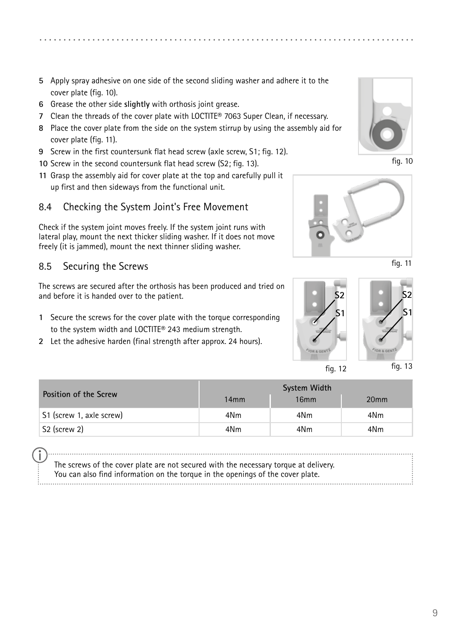- <span id="page-8-0"></span>**5** Apply spray adhesive on one side of the second sliding washer and adhere it to the cover plate (fig. 10).
- **6** Grease the other side **slightly** with orthosis joint grease.
- **7** Clean the threads of the cover plate with LOCTITE® 7063 Super Clean, if necessary.
- **8** Place the cover plate from the side on the system stirrup by using the assembly aid for cover plate (fig. 11).
- **9** Screw in the first countersunk flat head screw (axle screw, S1; fig. 12).
- **10** Screw in the second countersunk flat head screw (S2; fig. 13).
- **11** Grasp the assembly aid for cover plate at the top and carefully pull it up first and then sideways from the functional unit.

#### 8.4 Checking the System Joint's Free Movement

Check if the system joint moves freely. If the system joint runs with lateral play, mount the next thicker sliding washer. If it does not move freely (it is jammed), mount the next thinner sliding washer.

#### 8.5 Securing the Screws

The screws are secured after the orthosis has been produced and tried on and before it is handed over to the patient.

- **1** Secure the screws for the cover plate with the torque corresponding to the system width and LOCTITE® 243 medium strength.
- **2** Let the adhesive harden (final strength after approx. 24 hours).



fig. 10







|                              | System Width    |                  |                  |  |
|------------------------------|-----------------|------------------|------------------|--|
| <b>Position of the Screw</b> | 14mm            | 16 <sub>mm</sub> | 20 <sub>mm</sub> |  |
| S1 (screw 1, axle screw)     | 4N <sub>m</sub> | 4N <sub>m</sub>  | 4Nm              |  |
| S <sub>2</sub> (screw 2)     | 4N <sub>m</sub> | 4N <sub>m</sub>  | 4Nm              |  |

The screws of the cover plate are not secured with the necessary torque at delivery. You can also find information on the torque in the openings of the cover plate.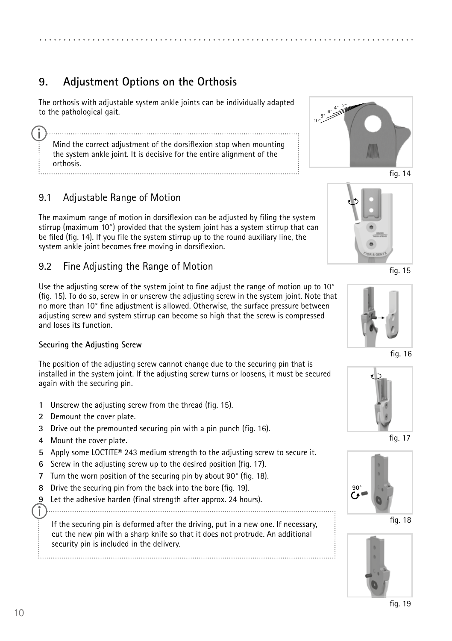# <span id="page-9-0"></span>**9. Adjustment Options on the Orthosis**

The orthosis with adjustable system ankle joints can be individually adapted to the pathological gait.

Mind the correct adjustment of the dorsiflexion stop when mounting the system ankle joint. It is decisive for the entire alignment of the orthosis.

### 9.1 Adjustable Range of Motion

The maximum range of motion in dorsiflexion can be adjusted by filing the system stirrup (maximum 10°) provided that the system joint has a system stirrup that can be filed (fig. 14). If you file the system stirrup up to the round auxiliary line, the system ankle joint becomes free moving in dorsiflexion.

#### 9.2 Fine Adjusting the Range of Motion

Use the adjusting screw of the system joint to fine adjust the range of motion up to 10° (fig. 15). To do so, screw in or unscrew the adjusting screw in the system joint. Note that no more than 10° fine adjustment is allowed. Otherwise, the surface pressure between adjusting screw and system stirrup can become so high that the screw is compressed and loses its function.

#### **Securing the Adjusting Screw**

The position of the adjusting screw cannot change due to the securing pin that is installed in the system joint. If the adjusting screw turns or loosens, it must be secured again with the securing pin.

- **1** Unscrew the adjusting screw from the thread (fig. 15).
- **2** Demount the cover plate.
- **3** Drive out the premounted securing pin with a pin punch (fig. 16).
- **4** Mount the cover plate.
- **5** Apply some LOCTITE® 243 medium strength to the adjusting screw to secure it.
- **6** Screw in the adjusting screw up to the desired position (fig. 17).
- **7** Turn the worn position of the securing pin by about 90° (fig. 18).
- **8** Drive the securing pin from the back into the bore (fig. 19).
- Let the adhesive harden (final strength after approx. 24 hours).

ĭ 

If the securing pin is deformed after the driving, put in a new one. If necessary, cut the new pin with a sharp knife so that it does not protrude. An additional security pin is included in the delivery.







fig. 15



fig. 16



fig. 17



fig. 18

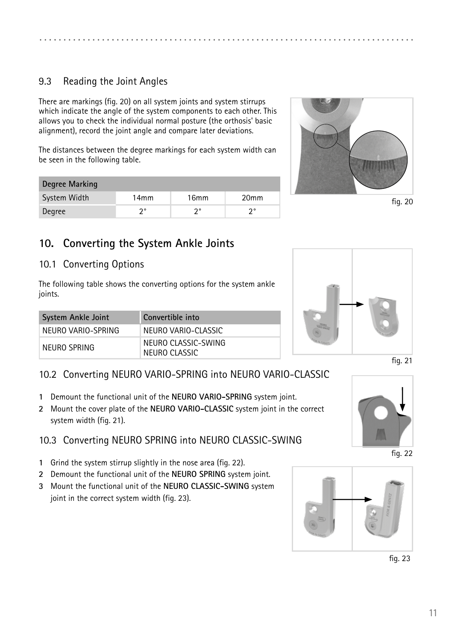### <span id="page-10-0"></span>9.3 Reading the Joint Angles

There are markings (fig. 20) on all system joints and system stirrups which indicate the angle of the system components to each other. This allows you to check the individual normal posture (the orthosis' basic alignment), record the joint angle and compare later deviations.

The distances between the degree markings for each system width can be seen in the following table.

| Degree Marking |                  |                  |                  |  |  |
|----------------|------------------|------------------|------------------|--|--|
| System Width   | 14 <sub>mm</sub> | 16 <sub>mm</sub> | 20 <sub>mm</sub> |  |  |
| Degree         | າ∘               | າ∘               | າ∘               |  |  |



fig. 20

### **10. Converting the System Ankle Joints**

#### 10.1 Converting Options

The following table shows the converting options for the system ankle joints.

| System Ankle Joint | Convertible into                     |
|--------------------|--------------------------------------|
| NEURO VARIO-SPRING | NEURO VARIO-CLASSIC                  |
| NEURO SPRING       | NEURO CLASSIC-SWING<br>NEURO CLASSIC |



#### fig. 21

#### 10.2 Converting NEURO VARIO-SPRING into NEURO VARIO-CLASSIC

- **1** Demount the functional unit of the **NEURO VARIO-SPRING** system joint.
- **2** Mount the cover plate of the **NEURO VARIO-CLASSIC** system joint in the correct system width (fig. 21).

#### 10.3 Converting NEURO SPRING into NEURO CLASSIC-SWING

- **1** Grind the system stirrup slightly in the nose area (fig. 22).
- **2** Demount the functional unit of the **NEURO SPRING** system joint.
- **3** Mount the functional unit of the **NEURO CLASSIC-SWING** system joint in the correct system width (fig. 23).



fig. 22



fig. 23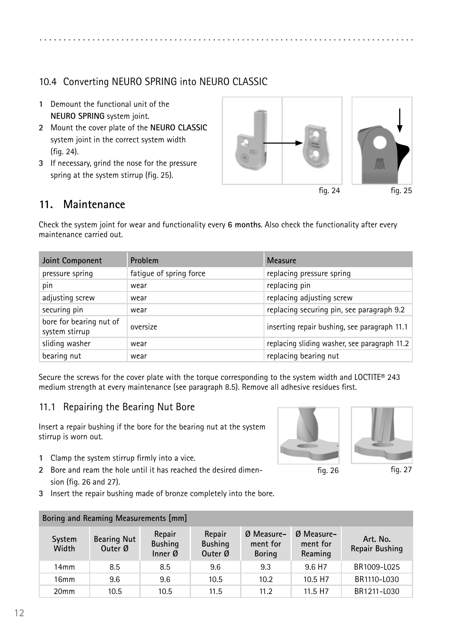### <span id="page-11-0"></span>10.4 Converting NEURO SPRING into NEURO CLASSIC

- **1** Demount the functional unit of the **NEURO SPRING** system joint.
- **2** Mount the cover plate of the **NEURO CLASSIC** system joint in the correct system width (fig. 24).
- **3** If necessary, grind the nose for the pressure spring at the system stirrup (fig. 25).



### **11. Maintenance**

Check the system joint for wear and functionality every **6 months**. Also check the functionality after every maintenance carried out.

| Joint Component                           | <b>Problem</b>          | Measure                                      |  |
|-------------------------------------------|-------------------------|----------------------------------------------|--|
| pressure spring                           | fatigue of spring force | replacing pressure spring                    |  |
| pin                                       | wear                    | replacing pin                                |  |
| adjusting screw                           | wear                    | replacing adjusting screw                    |  |
| securing pin                              | wear                    | replacing securing pin, see paragraph 9.2    |  |
| bore for bearing nut of<br>system stirrup | oversize                | inserting repair bushing, see paragraph 11.1 |  |
| sliding washer                            | wear                    | replacing sliding washer, see paragraph 11.2 |  |
| bearing nut                               | wear                    | replacing bearing nut                        |  |

Secure the screws for the cover plate with the torque corresponding to the system width and LOCTITE® 243 medium strength at every maintenance (see paragraph 8.5). Remove all adhesive residues first.

### 11.1 Repairing the Bearing Nut Bore

Insert a repair bushing if the bore for the bearing nut at the system stirrup is worn out.

- **1** Clamp the system stirrup firmly into a vice.
- **2** Bore and ream the hole until it has reached the desired dimension (fig. 26 and 27).
- **3** Insert the repair bushing made of bronze completely into the bore.





| Boring and Reaming Measurements [mm] |                               |                                       |                                     |                                           |                                     |                            |
|--------------------------------------|-------------------------------|---------------------------------------|-------------------------------------|-------------------------------------------|-------------------------------------|----------------------------|
| System<br>Width                      | <b>Bearing Nut</b><br>Outer Ø | Repair<br><b>Bushing</b><br>Inner $Ø$ | Repair<br><b>Bushing</b><br>Outer Ø | $Ø$ Measure-<br>ment for<br><b>Boring</b> | $Ø$ Measure-<br>ment for<br>Reaming | Art. No.<br>Repair Bushing |
| 14mm                                 | 8.5                           | 8.5                                   | 9.6                                 | 9.3                                       | 9.6 H <sub>7</sub>                  | BR1009-L025                |
| 16 <sub>mm</sub>                     | 9.6                           | 9.6                                   | 10.5                                | 10.2                                      | 10.5 H <sub>7</sub>                 | BR1110-L030                |
| 20 <sub>mm</sub>                     | 10.5                          | 10.5                                  | 11.5                                | 11.2                                      | 11.5 H <sub>7</sub>                 | BR1211-L030                |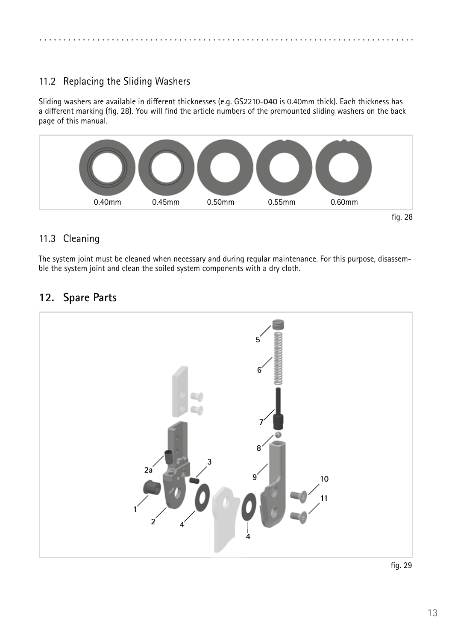<span id="page-12-0"></span>

### 11.2 Replacing the Sliding Washers

Sliding washers are available in different thicknesses (e.g. GS2210-**040** is 0.40mm thick). Each thickness has a different marking (fig. 28). You will find the article numbers of the premounted sliding washers on the back page of this manual.



### 11.3 Cleaning

The system joint must be cleaned when necessary and during regular maintenance. For this purpose, disassemble the system joint and clean the soiled system components with a dry cloth.

# **12. Spare Parts**

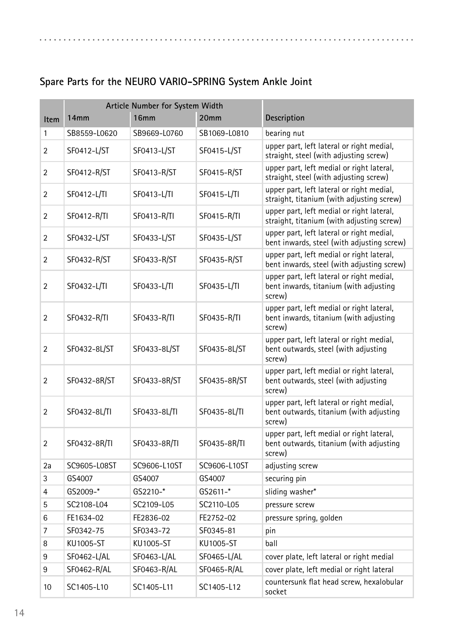#### **Item Article Number for System Width 14mm 16mm 20mm Description** 1 SB8559-L0620 SB9669-L0760 SB1069-L0810 bearing nut 2 SF0412-L/ST SF0413-L/ST SF0415-L/ST upper part, left lateral or right medial, straight, steel (with adjusting screw) 2 SF0412-R/ST SF0413-R/ST SF0415-R/ST upper part, left medial or right lateral, straight, steel (with adjusting screw) <sup>2</sup> SF0412-L/TI SF0413-L/TI SF0415-L/TI upper part, left lateral or right medial, straight, titanium (with adjusting screw) 2 SF0412-R/TI SF0413-R/TI SF0415-R/TI upper part, left medial or right lateral, straight, titanium (with adjusting screw) 2 SF0432-L/ST SF0433-L/ST SF0435-L/ST upper part, left lateral or right medial, bent inwards, steel (with adjusting screw) 2 SF0432-R/ST SF0433-R/ST SF0435-R/ST upper part, left medial or right lateral, bent inwards, steel (with adjusting screw) 2 SF0432-L/TI SF0433-L/TI SF0435-L/TI upper part, left lateral or right medial, bent inwards, titanium (with adjusting screw) 2 SF0432-R/TI SF0433-R/TI SF0435-R/TI upper part, left medial or right lateral, bent inwards, titanium (with adjusting screw) 2 | SF0432-8L/ST | SF0433-8L/ST | SF0435-8L/ST upper part, left lateral or right medial, bent outwards, steel (with adjusting screw) 2 SF0432-8R/ST SF0433-8R/ST SF0435-8R/ST upper part, left medial or right lateral, bent outwards, steel (with adjusting screw) 2 SF0432-8L/TI SF0433-8L/TI SF0435-8L/TI upper part, left lateral or right medial, bent outwards, titanium (with adjusting screw) 2 SF0432-8R/TI SF0433-8R/TI SF0435-8R/TI upper part, left medial or right lateral, bent outwards, titanium (with adjusting screw) 2a SC9605-L08ST SC9606-L10ST SC9606-L10ST adjusting screw 3 GS4007 GS4007 GS4007 securing pin 4 GS2009-\* GS2210-\* GS2611-\* sliding washer\* 5 SC2108-L04 SC2109-L05 SC2110-L05 pressure screw 6 FE1634-02 FE2836-02 FE2752-02 pressure spring, golden 7 SF0342-75 SF0343-72 SF0345-81 pin 8 KU1005-ST KU1005-ST KU1005-ST ball 9 SF0462-L/AL SF0463-L/AL SF0465-L/AL cover plate, left lateral or right medial 9 SF0462-R/AL SF0463-R/AL SF0465-R/AL cover plate, left medial or right lateral <sup>10</sup> SC1405-L10 SC1405-L11 SC1405-L12 countersunk flat head screw, hexalobular socket

### **Spare Parts for the NEURO VARIO-SPRING System Ankle Joint**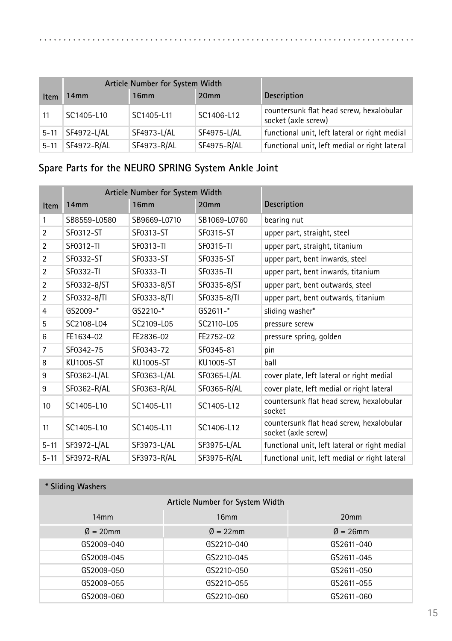|          |             | Article Number for System Width |                  |                                                                 |
|----------|-------------|---------------------------------|------------------|-----------------------------------------------------------------|
| Item     | 14mm        | 16mm                            | 20 <sub>mm</sub> | <b>Description</b>                                              |
| 11       | SC1405-L10  | SC1405-L11                      | SC1406-L12       | countersunk flat head screw, hexalobular<br>socket (axle screw) |
| $5 - 11$ | SF4972-L/AL | SF4973-L/AL                     | SF4975-L/AL      | functional unit, left lateral or right medial                   |
| $5 - 11$ | SF4972-R/AL | SF4973-R/AL                     | SF4975-R/AL      | functional unit, left medial or right lateral                   |

# **Spare Parts for the NEURO SPRING System Ankle Joint**

|                | Article Number for System Width |                  |                  |                                                                 |
|----------------|---------------------------------|------------------|------------------|-----------------------------------------------------------------|
| Item           | 14 <sub>mm</sub>                | 16 <sub>mm</sub> | 20 <sub>mm</sub> | Description                                                     |
| 1              | SB8559-L0580                    | SB9669-L0710     | SB1069-L0760     | bearing nut                                                     |
| $\overline{2}$ | SF0312-ST                       | SF0313-ST        | SF0315-ST        | upper part, straight, steel                                     |
| $\overline{2}$ | SF0312-TI                       | SF0313-TI        | SF0315-TI        | upper part, straight, titanium                                  |
| $\overline{2}$ | SF0332-ST                       | SF0333-ST        | SF0335-ST        | upper part, bent inwards, steel                                 |
| $\overline{2}$ | SF0332-TI                       | SF0333-TI        | SF0335-TI        | upper part, bent inwards, titanium                              |
| $\overline{2}$ | SF0332-8/ST                     | SF0333-8/ST      | SF0335-8/ST      | upper part, bent outwards, steel                                |
| $\overline{2}$ | SF0332-8/TI                     | SF0333-8/TI      | SF0335-8/TI      | upper part, bent outwards, titanium                             |
| $\overline{4}$ | GS2009-*                        | $GS2210-*$       | $GS2611-$ *      | sliding washer*                                                 |
| 5              | SC2108-L04                      | SC2109-L05       | SC2110-L05       | pressure screw                                                  |
| 6              | FE1634-02                       | FE2836-02        | FE2752-02        | pressure spring, golden                                         |
| $\overline{7}$ | SF0342-75                       | SF0343-72        | SF0345-81        | pin                                                             |
| 8              | KU1005-ST                       | KU1005-ST        | KU1005-ST        | ball                                                            |
| 9              | SF0362-L/AL                     | SF0363-L/AL      | SF0365-L/AL      | cover plate, left lateral or right medial                       |
| 9              | SF0362-R/AL                     | SF0363-R/AL      | SF0365-R/AL      | cover plate, left medial or right lateral                       |
| 10             | SC1405-L10                      | SC1405-L11       | SC1405-L12       | countersunk flat head screw, hexalobular<br>socket              |
| 11             | SC1405-L10                      | SC1405-L11       | SC1406-L12       | countersunk flat head screw, hexalobular<br>socket (axle screw) |
| $5 - 11$       | SF3972-L/AL                     | SF3973-L/AL      | SF3975-L/AL      | functional unit, left lateral or right medial                   |
| $5 - 11$       | SF3972-R/AL                     | SF3973-R/AL      | SF3975-R/AL      | functional unit, left medial or right lateral                   |

| * Sliding Washers     |                                 |                      |
|-----------------------|---------------------------------|----------------------|
|                       | Article Number for System Width |                      |
| 14mm                  | 16mm                            | 20 <sub>mm</sub>     |
| $\varnothing = 20$ mm | $\varnothing = 22$ mm           | $\varnothing$ = 26mm |
| GS2009-040            | GS2210-040                      | GS2611-040           |
| GS2009-045            | GS2210-045                      | GS2611-045           |
| GS2009-050            | GS2210-050                      | GS2611-050           |
| GS2009-055            | GS2210-055                      | GS2611-055           |
| GS2009-060            | GS2210-060                      | GS2611-060           |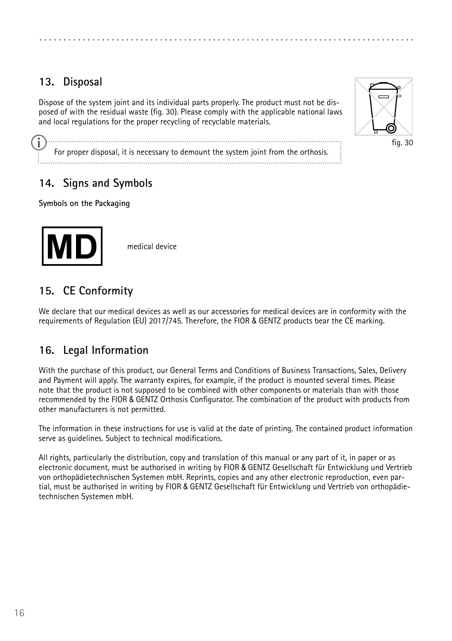# <span id="page-15-0"></span>**13. Disposal**

Dispose of the system joint and its individual parts properly. The product must not be disposed of with the residual waste (fig. 30). Please comply with the applicable national laws and local regulations for the proper recycling of recyclable materials.



fig. 30

For proper disposal, it is necessary to demount the system joint from the orthosis. 

### **14. Signs and Symbols**

**Symbols on the Packaging**



medical device

### **15. CE Conformity**

We declare that our medical devices as well as our accessories for medical devices are in conformity with the requirements of Regulation (EU) 2017/745. Therefore, the FIOR & GENTZ products bear the CE marking.

### **16. Legal Information**

With the purchase of this product, our General Terms and Conditions of Business Transactions, Sales, Delivery and Payment will apply. The warranty expires, for example, if the product is mounted several times. Please note that the product is not supposed to be combined with other components or materials than with those recommended by the FIOR & GENTZ Orthosis Configurator. The combination of the product with products from other manufacturers is not permitted.

The information in these instructions for use is valid at the date of printing. The contained product information serve as guidelines. Subject to technical modifications.

All rights, particularly the distribution, copy and translation of this manual or any part of it, in paper or as electronic document, must be authorised in writing by FIOR & GENTZ Gesellschaft für Entwicklung und Vertrieb von orthopädietechnischen Systemen mbH. Reprints, copies and any other electronic reproduction, even partial, must be authorised in writing by FIOR & GENTZ Gesellschaft für Entwicklung und Vertrieb von orthopädietechnischen Systemen mbH.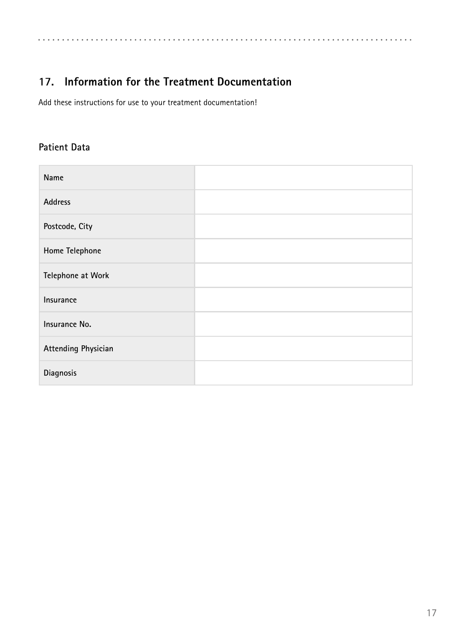<span id="page-16-0"></span>. . . . . . . . . . . . . . . . . . . . . . . . . . . .

# **17. Information for the Treatment Documentation**

Add these instructions for use to your treatment documentation!

### **Patient Data**

| Name                |  |
|---------------------|--|
| <b>Address</b>      |  |
| Postcode, City      |  |
| Home Telephone      |  |
| Telephone at Work   |  |
| Insurance           |  |
| Insurance No.       |  |
| Attending Physician |  |
| Diagnosis           |  |